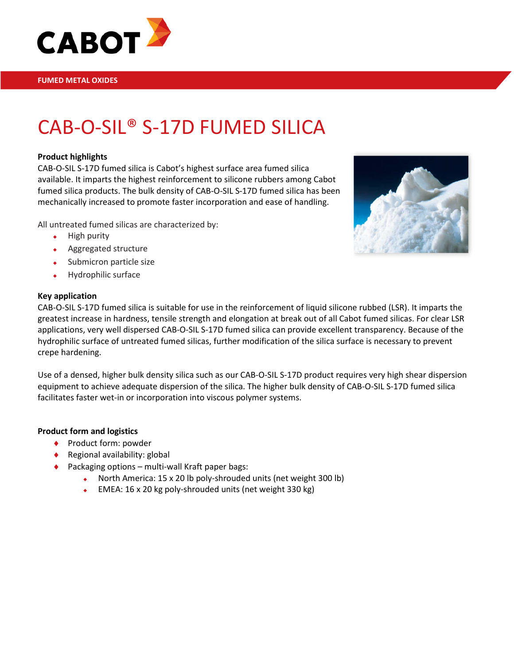

# CAB-O-SIL® S-17D FUMED SILICA

#### **Product highlights**

CAB-O-SIL S-17D fumed silica is Cabot's highest surface area fumed silica available. It imparts the highest reinforcement to silicone rubbers among Cabot fumed silica products. The bulk density of CAB-O-SIL S-17D fumed silica has been mechanically increased to promote faster incorporation and ease of handling.

All untreated fumed silicas are characterized by:

- $\leftarrow$  High purity
- Aggregated structure
- Submicron particle size
- Hydrophilic surface

#### **Key application**



CAB-O-SIL S-17D fumed silica is suitable for use in the reinforcement of liquid silicone rubbed (LSR). It imparts the greatest increase in hardness, tensile strength and elongation at break out of all Cabot fumed silicas. For clear LSR applications, very well dispersed CAB-O-SIL S-17D fumed silica can provide excellent transparency. Because of the hydrophilic surface of untreated fumed silicas, further modification of the silica surface is necessary to prevent crepe hardening.

Use of a densed, higher bulk density silica such as our CAB-O-SIL S-17D product requires very high shear dispersion equipment to achieve adequate dispersion of the silica. The higher bulk density of CAB-O-SIL S-17D fumed silica facilitates faster wet-in or incorporation into viscous polymer systems.

### **Product form and logistics**

- ♦ Product form: powder
- ♦ Regional availability: global
- ♦ Packaging options multi-wall Kraft paper bags:
	- North America: 15 x 20 lb poly-shrouded units (net weight 300 lb)
	- EMEA: 16 x 20 kg poly-shrouded units (net weight 330 kg)